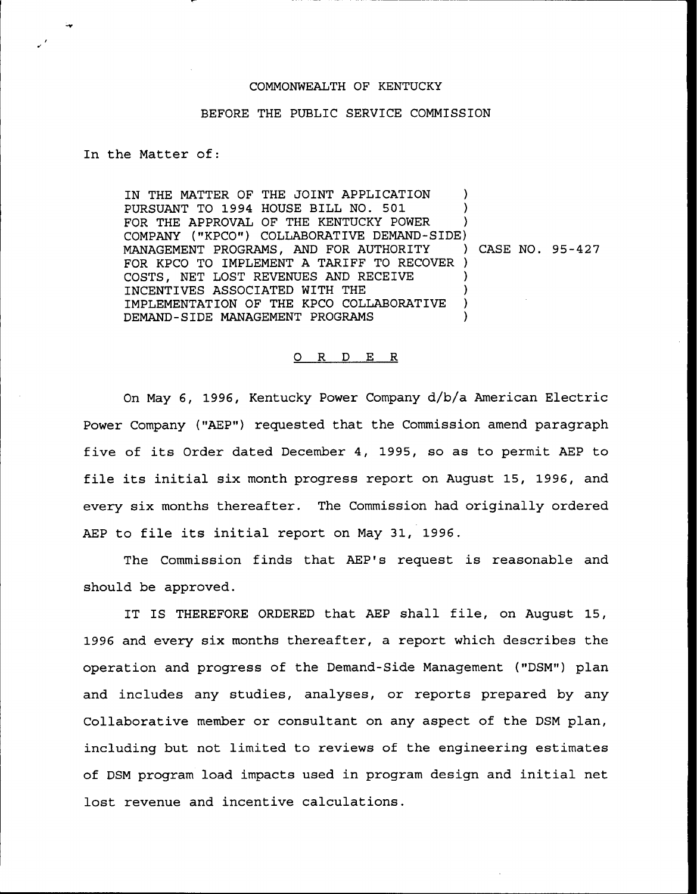## COMMONWEALTH OF KENTUCKY

## BEFORE THE PUBLIC SERVICE COMMISSION

## In the Matter of:

IN THE MATTER OF THE JOINT APPLICATION PURSUANT TO 1994 HOUSE BILL NO. 501 ) FOR THE APPROVAL OF THE KENTUCKY POWER COMPANY ("KPCO") COLLABORATIVE DEMAND-SIDE)<br>MANAGEMENT PROGRAMS, AND FOR AUTHORITY ) CASE NO. 95-427 MANAGEMENT PROGRAMS, AND FOR AUTHORITY FOR KPCO TO IMPLEMENT A TARIFF TO RECOVER ) COSTS, NET LOST REVENUES AND RECEIVE INCENTIVES ASSOCIATED WITH THE IMPLEMENTATION OF THE KPCO COLLABORATIVE DEMAND-SIDE MANAGEMENT PROGRAMS )

## 0 R <sup>D</sup> E R

On May 6, 1996, Kentucky Power Company d/b/a American Electric Power Company ("AEP") requested that the Commission amend paragraph five of its Order dated December 4, 1995, so as to permit AEP to file its initial six month progress report on August 15, 1996, and every six months thereafter. The Commission had originally ordered AEP to file its initial report on May 31, 1996.

The Commission finds that AEP's request is reasonable and should be approved.

IT IS THEREFORE ORDERED that AEP shall file, on August 15, 1996 and every six months thereafter, a report which describes the operation and progress of the Demand-Side Management ("DSM") plan and includes any studies, analyses, or reports prepared by any Collaborative member or consultant on any aspect of the DSM plan, including but not limited to reviews of the engineering estimates of DSM program load impacts used in program design and initial net lost revenue and incentive calculations.